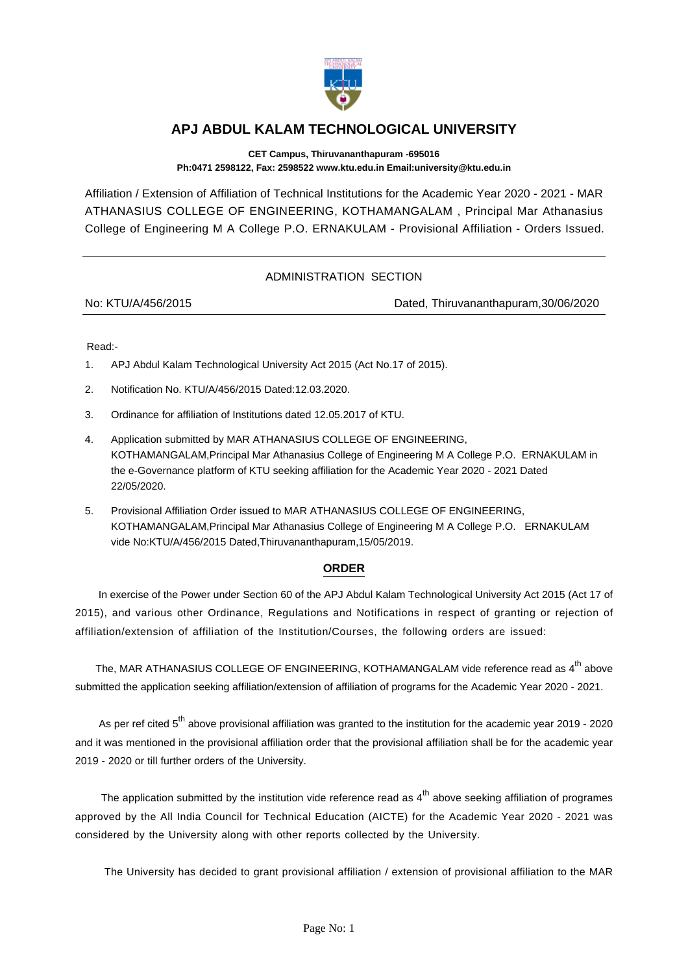

## **APJ ABDUL KALAM TECHNOLOGICAL UNIVERSITY**

**CET Campus, Thiruvananthapuram -695016 Ph:0471 2598122, Fax: 2598522 www.ktu.edu.in Email:university@ktu.edu.in**

Affiliation / Extension of Affiliation of Technical Institutions for the Academic Year 2020 - 2021 - MAR ATHANASIUS COLLEGE OF ENGINEERING, KOTHAMANGALAM , Principal Mar Athanasius College of Engineering M A College P.O. ERNAKULAM - Provisional Affiliation - Orders Issued.

## ADMINISTRATION SECTION

No: KTU/A/456/2015 Dated, Thiruvananthapuram,30/06/2020

Read:-

- 1. APJ Abdul Kalam Technological University Act 2015 (Act No.17 of 2015).
- 2. Notification No. KTU/A/456/2015 Dated:12.03.2020.
- 3. Ordinance for affiliation of Institutions dated 12.05.2017 of KTU.
- 4. Application submitted by MAR ATHANASIUS COLLEGE OF ENGINEERING, KOTHAMANGALAM,Principal Mar Athanasius College of Engineering M A College P.O. ERNAKULAM in the e-Governance platform of KTU seeking affiliation for the Academic Year 2020 - 2021 Dated 22/05/2020.
- 5. Provisional Affiliation Order issued to MAR ATHANASIUS COLLEGE OF ENGINEERING, KOTHAMANGALAM,Principal Mar Athanasius College of Engineering M A College P.O. ERNAKULAM vide No:KTU/A/456/2015 Dated,Thiruvananthapuram,15/05/2019.

## **ORDER**

 In exercise of the Power under Section 60 of the APJ Abdul Kalam Technological University Act 2015 (Act 17 of 2015), and various other Ordinance, Regulations and Notifications in respect of granting or rejection of affiliation/extension of affiliation of the Institution/Courses, the following orders are issued:

The, MAR ATHANASIUS COLLEGE OF ENGINEERING, KOTHAMANGALAM vide reference read as 4<sup>th</sup> above submitted the application seeking affiliation/extension of affiliation of programs for the Academic Year 2020 - 2021.

As per ref cited  $5<sup>th</sup>$  above provisional affiliation was granted to the institution for the academic year 2019 - 2020 and it was mentioned in the provisional affiliation order that the provisional affiliation shall be for the academic year 2019 - 2020 or till further orders of the University.

The application submitted by the institution vide reference read as 4<sup>th</sup> above seeking affiliation of programes approved by the All India Council for Technical Education (AICTE) for the Academic Year 2020 - 2021 was considered by the University along with other reports collected by the University.

The University has decided to grant provisional affiliation / extension of provisional affiliation to the MAR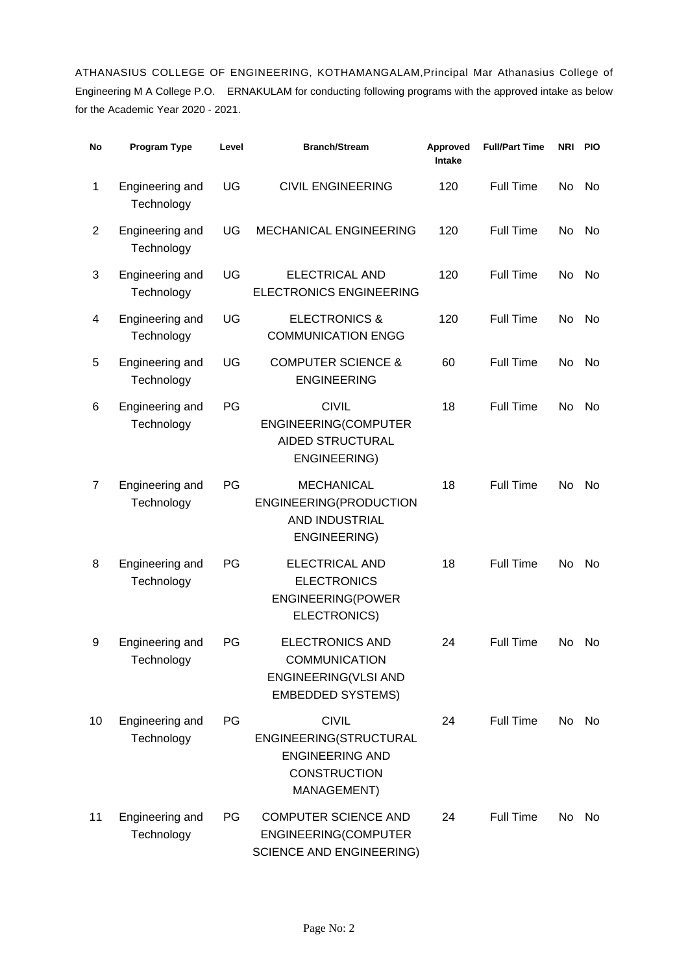ATHANASIUS COLLEGE OF ENGINEERING, KOTHAMANGALAM,Principal Mar Athanasius College of Engineering M A College P.O. ERNAKULAM for conducting following programs with the approved intake as below for the Academic Year 2020 - 2021.

| No             | <b>Program Type</b>           | Level | <b>Branch/Stream</b>                                                                                   | Approved<br>Intake | <b>Full/Part Time</b> |     | NRI PIO |
|----------------|-------------------------------|-------|--------------------------------------------------------------------------------------------------------|--------------------|-----------------------|-----|---------|
| 1              | Engineering and<br>Technology | UG    | <b>CIVIL ENGINEERING</b>                                                                               | 120                | <b>Full Time</b>      | No  | No      |
| $\overline{2}$ | Engineering and<br>Technology | UG    | MECHANICAL ENGINEERING                                                                                 | 120                | <b>Full Time</b>      | No  | No.     |
| 3              | Engineering and<br>Technology | UG    | <b>ELECTRICAL AND</b><br><b>ELECTRONICS ENGINEERING</b>                                                | 120                | <b>Full Time</b>      | No  | No.     |
| 4              | Engineering and<br>Technology | UG    | <b>ELECTRONICS &amp;</b><br><b>COMMUNICATION ENGG</b>                                                  | 120                | <b>Full Time</b>      | No  | No      |
| 5              | Engineering and<br>Technology | UG    | <b>COMPUTER SCIENCE &amp;</b><br><b>ENGINEERING</b>                                                    | 60                 | <b>Full Time</b>      | No  | No      |
| 6              | Engineering and<br>Technology | PG    | <b>CIVIL</b><br>ENGINEERING(COMPUTER<br><b>AIDED STRUCTURAL</b><br><b>ENGINEERING)</b>                 | 18                 | Full Time             | No  | No.     |
| $\overline{7}$ | Engineering and<br>Technology | PG    | <b>MECHANICAL</b><br>ENGINEERING(PRODUCTION<br>AND INDUSTRIAL<br>ENGINEERING)                          | 18                 | <b>Full Time</b>      | No  | No      |
| 8              | Engineering and<br>Technology | PG    | <b>ELECTRICAL AND</b><br><b>ELECTRONICS</b><br><b>ENGINEERING(POWER</b><br>ELECTRONICS)                | 18                 | <b>Full Time</b>      | No  | No      |
| 9              | Engineering and<br>Technology | PG    | <b>ELECTRONICS AND</b><br><b>COMMUNICATION</b><br>ENGINEERING(VLSI AND<br><b>EMBEDDED SYSTEMS)</b>     | 24                 | <b>Full Time</b>      | No. | No      |
| 10             | Engineering and<br>Technology | PG    | <b>CIVIL</b><br>ENGINEERING(STRUCTURAL<br><b>ENGINEERING AND</b><br><b>CONSTRUCTION</b><br>MANAGEMENT) | 24                 | Full Time             | No  | No      |
| 11             | Engineering and<br>Technology | PG    | <b>COMPUTER SCIENCE AND</b><br>ENGINEERING(COMPUTER<br><b>SCIENCE AND ENGINEERING)</b>                 | 24                 | Full Time             | No  | No.     |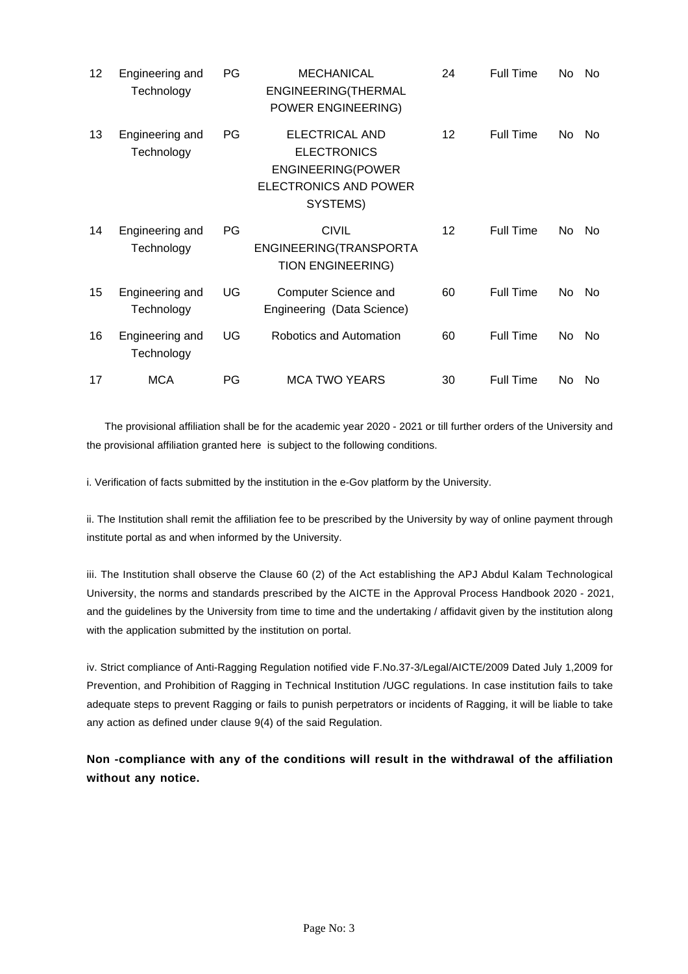| 12 | Engineering and<br>Technology | PG        | <b>MECHANICAL</b><br>ENGINEERING(THERMAL<br>POWER ENGINEERING)                                               | 24 | <b>Full Time</b> | No. | - No |
|----|-------------------------------|-----------|--------------------------------------------------------------------------------------------------------------|----|------------------|-----|------|
| 13 | Engineering and<br>Technology | PG        | ELECTRICAL AND<br><b>ELECTRONICS</b><br><b>ENGINEERING(POWER</b><br><b>ELECTRONICS AND POWER</b><br>SYSTEMS) | 12 | <b>Full Time</b> | No. | No.  |
| 14 | Engineering and<br>Technology | <b>PG</b> | <b>CIVIL</b><br>ENGINEERING(TRANSPORTA<br><b>TION ENGINEERING)</b>                                           | 12 | <b>Full Time</b> | No  | No.  |
| 15 | Engineering and<br>Technology | UG        | Computer Science and<br>Engineering (Data Science)                                                           | 60 | <b>Full Time</b> | No  | No   |
| 16 | Engineering and<br>Technology | UG        | Robotics and Automation                                                                                      | 60 | <b>Full Time</b> | No. | No   |
| 17 | <b>MCA</b>                    | PG        | <b>MCA TWO YEARS</b>                                                                                         | 30 | <b>Full Time</b> | No. | No.  |

 The provisional affiliation shall be for the academic year 2020 - 2021 or till further orders of the University and the provisional affiliation granted here is subject to the following conditions.

i. Verification of facts submitted by the institution in the e-Gov platform by the University.

ii. The Institution shall remit the affiliation fee to be prescribed by the University by way of online payment through institute portal as and when informed by the University.

iii. The Institution shall observe the Clause 60 (2) of the Act establishing the APJ Abdul Kalam Technological University, the norms and standards prescribed by the AICTE in the Approval Process Handbook 2020 - 2021, and the guidelines by the University from time to time and the undertaking / affidavit given by the institution along with the application submitted by the institution on portal.

iv. Strict compliance of Anti-Ragging Regulation notified vide F.No.37-3/Legal/AICTE/2009 Dated July 1,2009 for Prevention, and Prohibition of Ragging in Technical Institution /UGC regulations. In case institution fails to take adequate steps to prevent Ragging or fails to punish perpetrators or incidents of Ragging, it will be liable to take any action as defined under clause 9(4) of the said Regulation.

**Non -compliance with any of the conditions will result in the withdrawal of the affiliation without any notice.**